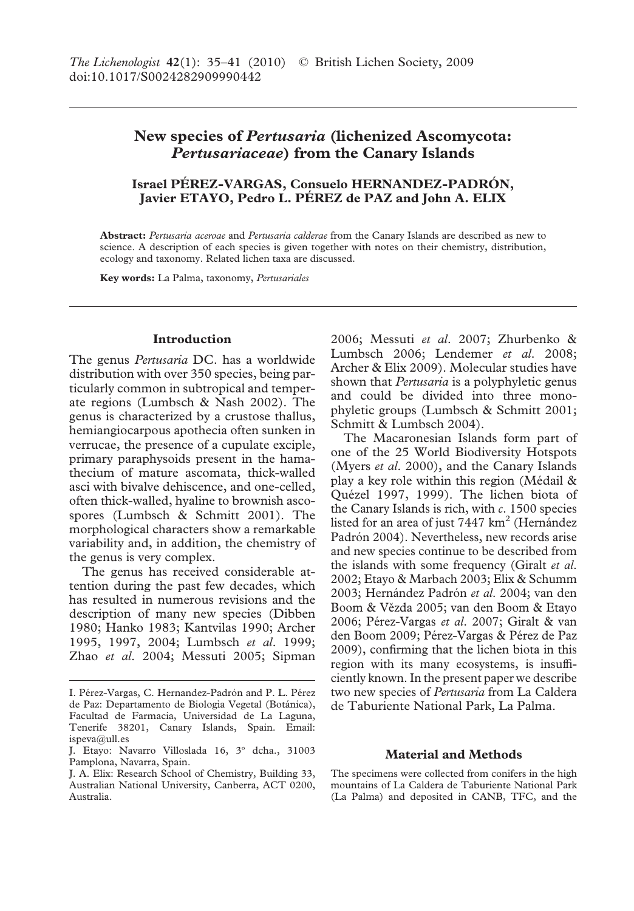# **New species of** *Pertusaria* **(lichenized Ascomycota:** *Pertusariaceae***) from the Canary Islands**

# **Israel PÉREZ-VARGAS, Consuelo HERNANDEZ-PADRÓN, Javier ETAYO, Pedro L. PÉREZ de PAZ and John A. ELIX**

**Abstract:** *Pertusaria aceroae* and *Pertusaria calderae* from the Canary Islands are described as new to science. A description of each species is given together with notes on their chemistry, distribution, ecology and taxonomy. Related lichen taxa are discussed.

**Key words:** La Palma, taxonomy, *Pertusariales*

## **Introduction**

The genus *Pertusaria* DC. has a worldwide distribution with over 350 species, being particularly common in subtropical and temperate regions (Lumbsch & Nash 2002). The genus is characterized by a crustose thallus, hemiangiocarpous apothecia often sunken in verrucae, the presence of a cupulate exciple, primary paraphysoids present in the hamathecium of mature ascomata, thick-walled asci with bivalve dehiscence, and one-celled, often thick-walled, hyaline to brownish ascospores (Lumbsch & Schmitt 2001). The morphological characters show a remarkable variability and, in addition, the chemistry of the genus is very complex.

The genus has received considerable attention during the past few decades, which has resulted in numerous revisions and the description of many new species (Dibben 1980; Hanko 1983; Kantvilas 1990; Archer 1995, 1997, 2004; Lumbsch *et al*. 1999; Zhao *et al*. 2004; Messuti 2005; Sipman 2006; Messuti *et al*. 2007; Zhurbenko & Lumbsch 2006; Lendemer *et al*. 2008; Archer & Elix 2009). Molecular studies have shown that *Pertusaria* is a polyphyletic genus and could be divided into three monophyletic groups (Lumbsch & Schmitt 2001; Schmitt & Lumbsch 2004).

The Macaronesian Islands form part of one of the 25 World Biodiversity Hotspots (Myers *et al*. 2000), and the Canary Islands play a key role within this region (Médail & Quézel 1997, 1999). The lichen biota of the Canary Islands is rich, with *c*. 1500 species listed for an area of just 7447 km<sup>2</sup> (Hernández Padrón 2004). Nevertheless, new records arise and new species continue to be described from the islands with some frequency (Giralt *et al*. 2002; Etayo & Marbach 2003; Elix & Schumm 2003; Hernández Padrón *et al*. 2004; van den Boom & Vězda 2005; van den Boom & Etayo 2006; Pérez-Vargas *et al*. 2007; Giralt & van den Boom 2009; Pérez-Vargas & Pérez de Paz 2009), confirming that the lichen biota in this region with its many ecosystems, is insufficiently known. In the present paper we describe two new species of *Pertusaria* from La Caldera de Taburiente National Park, La Palma.

# **Material and Methods**

The specimens were collected from conifers in the high mountains of La Caldera de Taburiente National Park (La Palma) and deposited in CANB, TFC, and the

I. Pérez-Vargas, C. Hernandez-Padrón and P. L. Pérez de Paz: Departamento de Biologìa Vegetal (Botánica), Facultad de Farmacia, Universidad de La Laguna, Tenerife 38201, Canary Islands, Spain. Email: ispeva@ull.es

J. Etayo: Navarro Villoslada 16, 3º dcha., 31003 Pamplona, Navarra, Spain.

J. A. Elix: Research School of Chemistry, Building 33, Australian National University, Canberra, ACT 0200, Australia.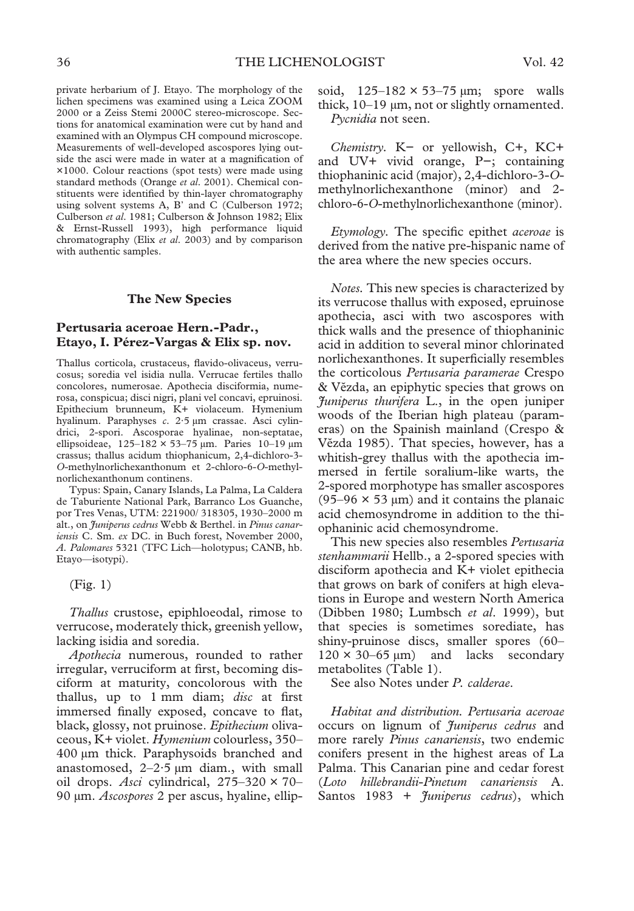private herbarium of J. Etayo. The morphology of the lichen specimens was examined using a Leica ZOOM 2000 or a Zeiss Stemi 2000C stereo-microscope. Sections for anatomical examination were cut by hand and examined with an Olympus CH compound microscope. Measurements of well-developed ascospores lying outside the asci were made in water at a magnification of ×1000. Colour reactions (spot tests) were made using standard methods (Orange *et al*. 2001). Chemical constituents were identified by thin-layer chromatography using solvent systems A, B' and C (Culberson 1972; Culberson *et al*. 1981; Culberson & Johnson 1982; Elix & Ernst-Russell 1993), high performance liquid chromatography (Elix *et al*. 2003) and by comparison with authentic samples.

### **The New Species**

# **Pertusaria aceroae Hern.-Padr., Etayo, I. Pérez-Vargas & Elix sp. nov.**

Thallus corticola, crustaceus, flavido-olivaceus, verrucosus; soredia vel isidia nulla. Verrucae fertiles thallo concolores, numerosae. Apothecia disciformia, numerosa, conspicua; disci nigri, plani vel concavi, epruinosi. Epithecium brunneum, K+ violaceum. Hymenium hyalinum. Paraphyses *c*. 2·5 µm crassae. Asci cylindrici, 2-spori. Ascosporae hyalinae, non-septatae, ellipsoideae, 125–182 × 53–75 µm. Paries 10–19 µm crassus; thallus acidum thiophanicum, 2,4-dichloro-3- *O*-methylnorlichexanthonum et 2-chloro-6-*O*-methylnorlichexanthonum continens.

Typus: Spain, Canary Islands, La Palma, La Caldera de Taburiente National Park, Barranco Los Guanche, por Tres Venas, UTM: 221900/ 318305, 1930–2000 m alt., on *Juniperus cedrus* Webb & Berthel. in *Pinus canariensis* C. Sm. *ex* DC. in Buch forest, November 2000, *A. Palomares* 5321 (TFC Lich—holotypus; CANB, hb. Etayo—isotypi).

(Fig. 1)

*Thallus* crustose, epiphloeodal, rimose to verrucose, moderately thick, greenish yellow, lacking isidia and soredia.

*Apothecia* numerous, rounded to rather irregular, verruciform at first, becoming disciform at maturity, concolorous with the thallus, up to 1 mm diam; *disc* at first immersed finally exposed, concave to flat, black, glossy, not pruinose. *Epithecium* olivaceous, K+ violet. *Hymenium* colourless, 350– 400 µm thick. Paraphysoids branched and anastomosed,  $2-2.5 \mu m$  diam., with small oil drops. *Asci* cylindrical, 275–320 × 70– 90 µm. *Ascospores* 2 per ascus, hyaline, ellipsoid,  $125-182 \times 53-75 \text{ µm}$ ; spore walls thick, 10–19 µm, not or slightly ornamented. *Pycnidia* not seen.

*Chemistry.* K− or yellowish, C+, KC+ and UV+ vivid orange, P−; containing thiophaninic acid (major), 2,4-dichloro-3-*O*methylnorlichexanthone (minor) and 2 chloro-6-*O*-methylnorlichexanthone (minor).

*Etymology.* The specific epithet *aceroae* is derived from the native pre-hispanic name of the area where the new species occurs.

*Notes.* This new species is characterized by its verrucose thallus with exposed, epruinose apothecia, asci with two ascospores with thick walls and the presence of thiophaninic acid in addition to several minor chlorinated norlichexanthones. It superficially resembles the corticolous *Pertusaria paramerae* Crespo & Vězda, an epiphytic species that grows on *Juniperus thurifera* L., in the open juniper woods of the Iberian high plateau (parameras) on the Spainish mainland (Crespo & Vězda 1985). That species, however, has a whitish-grey thallus with the apothecia immersed in fertile soralium-like warts, the 2-spored morphotype has smaller ascospores  $(95-96 \times 53 \text{ }\mu\text{m})$  and it contains the planaic acid chemosyndrome in addition to the thiophaninic acid chemosyndrome.

This new species also resembles *Pertusaria stenhammarii* Hellb., a 2-spored species with disciform apothecia and K+ violet epithecia that grows on bark of conifers at high elevations in Europe and western North America (Dibben 1980; Lumbsch *et al*. 1999), but that species is sometimes sorediate, has shiny-pruinose discs, smaller spores (60–  $120 \times 30 - 65 \text{ }\mu\text{m}$  and lacks secondary metabolites (Table 1).

See also Notes under *P. calderae*.

*Habitat and distribution. Pertusaria aceroae* occurs on lignum of *Juniperus cedrus* and more rarely *Pinus canariensis*, two endemic conifers present in the highest areas of La Palma. This Canarian pine and cedar forest (*Loto hillebrandii*-*Pinetum canariensis* A. Santos 1983 + *Juniperus cedrus*), which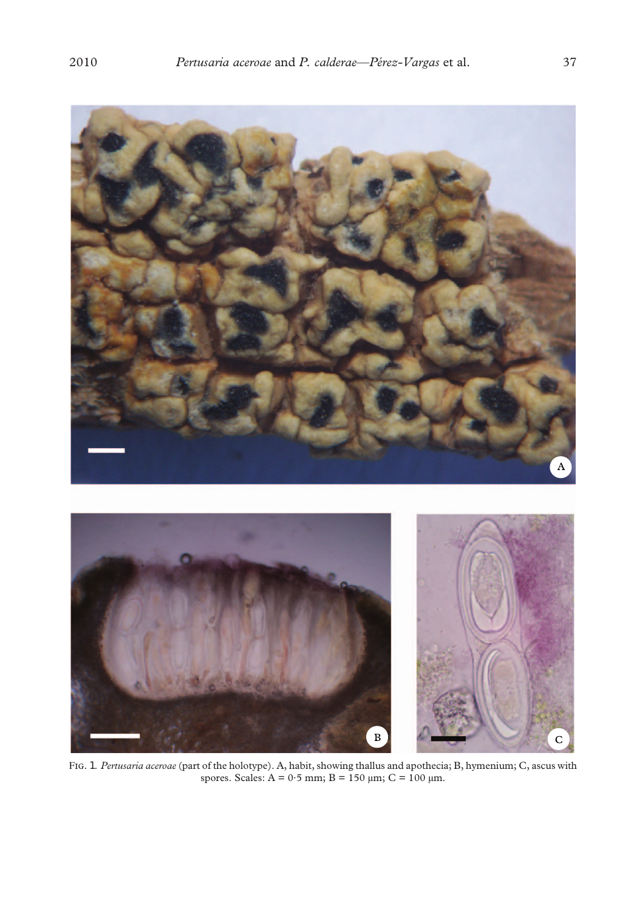

F. 1. *Pertusaria aceroae* (part of the holotype). A, habit, showing thallus and apothecia; B, hymenium; C, ascus with spores. Scales:  $A = 0.5$  mm;  $B = 150$  µm;  $C = 100$  µm.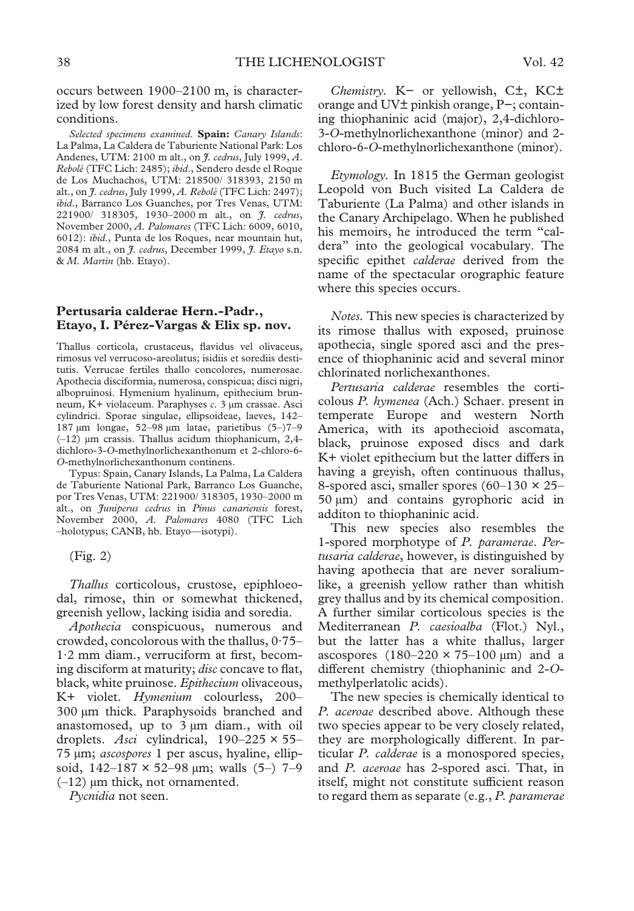occurs between 1900–2100 m, is characterized by low forest density and harsh climatic conditions.

*Selected specimens examined*. **Spain:** *Canary Islands*: La Palma, La Caldera de Taburiente National Park: Los Andenes, UTM: 2100 m alt., on *J. cedrus*, July 1999, *A*. *Rebolé* (TFC Lich: 2485); *ibid*., Sendero desde el Roque de Los Muchachos, UTM: 218500/ 318393, 2150 m alt., on *J. cedrus*, July 1999, *A. Rebolé* (TFC Lich: 2497); *ibid*., Barranco Los Guanches, por Tres Venas, UTM: 221900/ 318305, 1930–2000 m alt., on *J. cedrus*, November 2000, *A. Palomares* (TFC Lich: 6009, 6010, 6012): *ibid*., Punta de los Roques, near mountain hut, 2084 m alt., on *J. cedrus*, December 1999, *J. Etayo* s.n. & *M. Martìn* (hb. Etayo).

# **Pertusaria calderae Hern.-Padr., Etayo, I. Pérez-Vargas & Elix sp. nov.**

Thallus corticola, crustaceus, flavidus vel olivaceus, rimosus vel verrucoso-areolatus; isidiis et sorediis destitutis. Verrucae fertiles thallo concolores, numerosae. Apothecia disciformia, numerosa, conspicua; disci nigri, albopruinosi. Hymenium hyalinum, epithecium brunneum, K+ violaceum. Paraphyses *c*. 3 µm crassae. Asci cylindrici. Sporae singulae, ellipsoideae, laeves, 142– 187 µm longae, 52–98 µm latae, parietibus (5–)7–9  $(-12)$  µm crassis. Thallus acidum thiophanicum, 2,4dichloro-3-*O*-methylnorlichexanthonum et 2-chloro-6- *O*-methylnorlichexanthonum continens.

Typus: Spain, Canary Islands, La Palma, La Caldera de Taburiente National Park, Barranco Los Guanche, por Tres Venas, UTM: 221900/ 318305, 1930–2000 m alt., on *Juniperus cedrus* in *Pinus canariensis* forest, November 2000, *A. Palomares* 4080 (TFC Lich –holotypus; CANB, hb. Etayo—isotypi).

(Fig. 2)

*Thallus* corticolous, crustose, epiphloeodal, rimose, thin or somewhat thickened, greenish yellow, lacking isidia and soredia.

*Apothecia* conspicuous, numerous and crowded, concolorous with the thallus, 0·75– 1·2 mm diam., verruciform at first, becoming disciform at maturity; *disc* concave to flat, black, white pruinose. *Epithecium* olivaceous, K+ violet. *Hymenium* colourless, 200– 300 µm thick. Paraphysoids branched and anastomosed, up to 3 µm diam., with oil droplets. *Asci* cylindrical, 190–225 × 55– 75 µm; *ascospores* 1 per ascus, hyaline, ellipsoid,  $142-187 \times 52-98 \text{ µm}$ ; walls  $(5-)$  7-9  $(-12)$  µm thick, not ornamented.

*Pycnidia* not seen.

*Chemistry.* K− or yellowish, C±, KC± orange and UV± pinkish orange, P−; containing thiophaninic acid (major), 2,4-dichloro-3-*O*-methylnorlichexanthone (minor) and 2 chloro-6-*O*-methylnorlichexanthone (minor).

*Etymology.* In 1815 the German geologist Leopold von Buch visited La Caldera de Taburiente (La Palma) and other islands in the Canary Archipelago. When he published his memoirs, he introduced the term "caldera" into the geological vocabulary. The specific epithet *calderae* derived from the name of the spectacular orographic feature where this species occurs.

*Notes.* This new species is characterized by its rimose thallus with exposed, pruinose apothecia, single spored asci and the presence of thiophaninic acid and several minor chlorinated norlichexanthones.

*Pertusaria calderae* resembles the corticolous *P. hymenea* (Ach.) Schaer. present in temperate Europe and western North America, with its apothecioid ascomata, black, pruinose exposed discs and dark K+ violet epithecium but the latter differs in having a greyish, often continuous thallus, 8-spored asci, smaller spores  $(60-130 \times 25 50 \mu m$ ) and contains gyrophoric acid in additon to thiophaninic acid.

This new species also resembles the 1-spored morphotype of *P. paramerae*. *Pertusaria calderae*, however, is distinguished by having apothecia that are never soraliumlike, a greenish yellow rather than whitish grey thallus and by its chemical composition. A further similar corticolous species is the Mediterranean *P. caesioalba* (Flot.) Nyl., but the latter has a white thallus, larger ascospores  $(180-220 \times 75-100 \text{ µm})$  and a different chemistry (thiophaninic and 2-*O*methylperlatolic acids).

The new species is chemically identical to *P. aceroae* described above. Although these two species appear to be very closely related, they are morphologically different. In particular *P. calderae* is a monospored species, and *P. aceroae* has 2-spored asci. That, in itself, might not constitute sufficient reason to regard them as separate (e.g., *P. paramerae*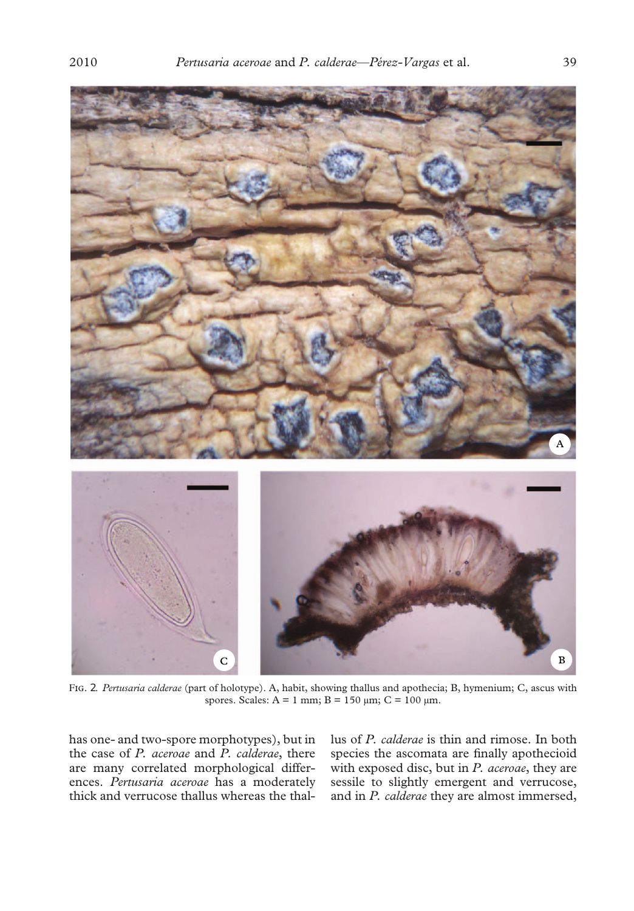

F. 2. *Pertusaria calderae* (part of holotype). A, habit, showing thallus and apothecia; B, hymenium; C, ascus with spores. Scales:  $A = 1$  mm;  $B = 150 \mu m$ ;  $C = 100 \mu m$ .

has one- and two-spore morphotypes), but in the case of *P. aceroae* and *P. calderae*, there are many correlated morphological differences. *Pertusaria aceroae* has a moderately thick and verrucose thallus whereas the thallus of *P. calderae* is thin and rimose. In both species the ascomata are finally apothecioid with exposed disc, but in *P. aceroae*, they are sessile to slightly emergent and verrucose, and in *P. calderae* they are almost immersed,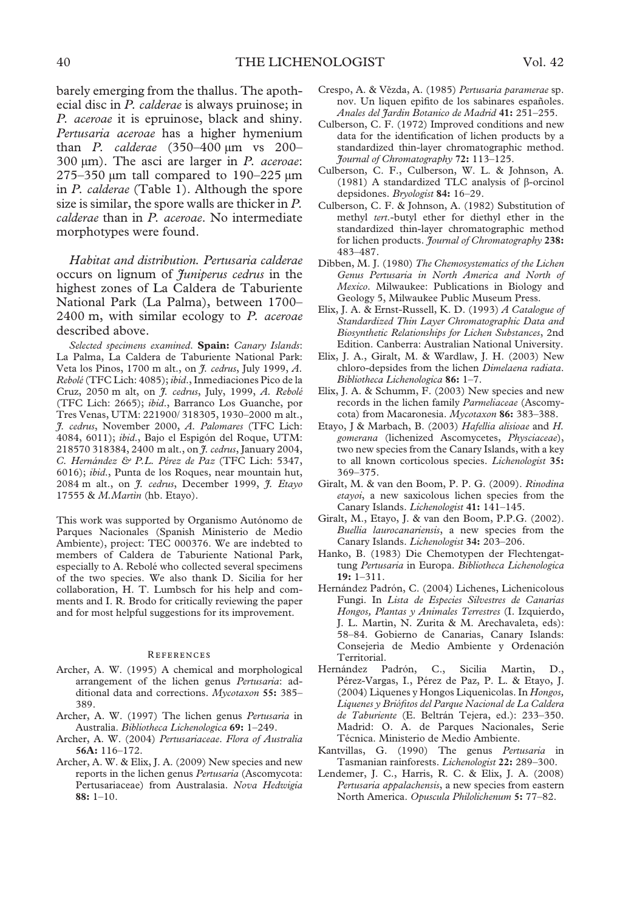barely emerging from the thallus. The apothecial disc in *P. calderae* is always pruinose; in *P. aceroae* it is epruinose, black and shiny. *Pertusaria aceroae* has a higher hymenium than *P. calderae* (350–400 µm vs 200– 300 µm). The asci are larger in *P. aceroae*: 275–350  $\mu$ m tall compared to 190–225  $\mu$ m in *P. calderae* (Table 1). Although the spore size is similar, the spore walls are thicker in *P. calderae* than in *P. aceroae*. No intermediate morphotypes were found.

*Habitat and distribution. Pertusaria calderae* occurs on lignum of *Juniperus cedrus* in the highest zones of La Caldera de Taburiente National Park (La Palma), between 1700– 2400 m, with similar ecology to *P. aceroae* described above.

*Selected specimens examined*. **Spain:** *Canary Islands*: La Palma, La Caldera de Taburiente National Park: Veta los Pinos, 1700 m alt., on *J. cedrus*, July 1999, *A. Rebolé*(TFC Lich: 4085); *ibid*., Inmediaciones Pico de la Cruz, 2050 m alt, on *J. cedrus*, July, 1999, *A. Rebolé* (TFC Lich: 2665); *ibid*., Barranco Los Guanche, por Tres Venas, UTM: 221900/ 318305, 1930–2000 m alt., *J. cedrus*, November 2000, *A. Palomares* (TFC Lich: 4084, 6011); *ibid*., Bajo el Espigón del Roque, UTM: 218570 318384, 2400 m alt., on *J. cedrus*, January 2004, *C. Hernández & P.L. Pérez de Paz* (TFC Lich: 5347, 6016); *ibid*., Punta de los Roques, near mountain hut, 2084 m alt., on *J. cedrus*, December 1999, *J. Etayo* 17555 & *M.Martìn* (hb. Etayo).

This work was supported by Organismo Autónomo de Parques Nacionales (Spanish Ministerio de Medio Ambiente), project: TEC 000376. We are indebted to members of Caldera de Taburiente National Park, especially to A. Rebolé who collected several specimens of the two species. We also thank D. Sicilia for her collaboration, H. T. Lumbsch for his help and comments and I. R. Brodo for critically reviewing the paper and for most helpful suggestions for its improvement.

#### **REFERENCES**

- Archer, A. W. (1995) A chemical and morphological arrangement of the lichen genus *Pertusaria*: additional data and corrections. *Mycotaxon* **55:** 385– 389.
- Archer, A. W. (1997) The lichen genus *Pertusaria* in Australia. *Bibliotheca Lichenologica* **69:** 1–249.
- Archer, A. W. (2004) *Pertusariaceae*. *Flora of Australia* **56A:** 116–172.
- Archer, A. W. & Elix, J. A. (2009) New species and new reports in the lichen genus *Pertusaria* (Ascomycota: Pertusariaceae) from Australasia. *Nova Hedwigia* **88:** 1–10.
- Crespo, A. & Vězda, A. (1985) Pertusaria paramerae sp. nov. Un liquen epìfito de los sabinares españoles. *Anales del Jardin Botanico de Madrid* **41:** 251–255.
- Culberson, C. F. (1972) Improved conditions and new data for the identification of lichen products by a standardized thin-layer chromatographic method. *Journal of Chromatography* **72:** 113–125.
- Culberson, C. F., Culberson, W. L. & Johnson, A.  $(1981)$  A standardized TLC analysis of  $\beta$ -orcinol depsidones. *Bryologist* **84:** 16–29.
- Culberson, C. F. & Johnson, A. (1982) Substitution of methyl *tert*.-butyl ether for diethyl ether in the standardized thin-layer chromatographic method for lichen products. *Journal of Chromatography* **238:** 483–487.
- Dibben, M. J. (1980) *The Chemosystematics of the Lichen Genus Pertusaria in North America and North of Mexico*. Milwaukee: Publications in Biology and Geology 5, Milwaukee Public Museum Press.
- Elix, J. A. & Ernst-Russell, K. D. (1993) *A Catalogue of Standardized Thin Layer Chromatographic Data and Biosynthetic Relationships for Lichen Substances*, 2nd Edition. Canberra: Australian National University.
- Elix, J. A., Giralt, M. & Wardlaw, J. H. (2003) New chloro-depsides from the lichen *Dimelaena radiata*. *Bibliotheca Lichenologica* **86:** 1–7.
- Elix, J. A. & Schumm, F. (2003) New species and new records in the lichen family *Parmeliaceae* (Ascomycota) from Macaronesia. *Mycotaxon* **86:** 383–388.
- Etayo, J & Marbach, B. (2003) *Hafellia alisioae* and *H. gomerana* (lichenized Ascomycetes, *Physciaceae*), two new species from the Canary Islands, with a key to all known corticolous species. *Lichenologist* **35:** 369–375.
- Giralt, M. & van den Boom, P. P. G. (2009). *Rinodina etayoi*, a new saxicolous lichen species from the Canary Islands. *Lichenologist* **41:** 141–145.
- Giralt, M., Etayo, J. & van den Boom, P.P.G. (2002). *Buellia laurocanariensis*, a new species from the Canary Islands. *Lichenologist* **34:** 203–206.
- Hanko, B. (1983) Die Chemotypen der Flechtengattung *Pertusaria* in Europa. *Bibliotheca Lichenologica* **19:** 1–311.
- Hernández Padrón, C. (2004) Lichenes, Lichenicolous Fungi. In *Lista de Especies Silvestres de Canarias Hongos, Plantas y Animales Terrestres* (I. Izquierdo, J. L. Martìn, N. Zurita & M. Arechavaleta, eds): 58–84. Gobierno de Canarias, Canary Islands: Consejerìa de Medio Ambiente y Ordenación Territorial.
- Hernández Padrón, C., Sicilia Martìn, D., Pérez-Vargas, I., Pérez de Paz, P. L. & Etayo, J. (2004) Lìquenes y Hongos Liquenìcolas. In *Hongos, Liquenes y Briófitos del Parque Nacional de La Caldera de Taburiente* (E. Beltrán Tejera, ed.): 233–350. Madrid: O. A. de Parques Nacionales, Serie Técnica. Ministerio de Medio Ambiente.
- Kantvillas, G. (1990) The genus *Pertusaria* in Tasmanian rainforests. *Lichenologist* **22:** 289–300.
- Lendemer, J. C., Harris, R. C. & Elix, J. A. (2008) *Pertusaria appalachensis*, a new species from eastern North America. *Opuscula Philolichenum* **5:** 77–82.